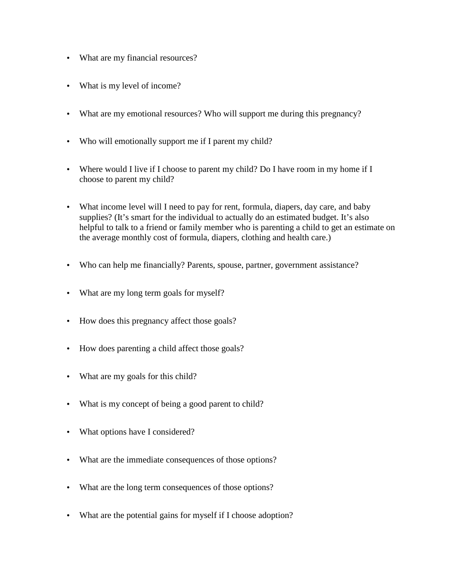- What are my financial resources?
- What is my level of income?
- What are my emotional resources? Who will support me during this pregnancy?
- Who will emotionally support me if I parent my child?
- Where would I live if I choose to parent my child? Do I have room in my home if I choose to parent my child?
- What income level will I need to pay for rent, formula, diapers, day care, and baby supplies? (It's smart for the individual to actually do an estimated budget. It's also helpful to talk to a friend or family member who is parenting a child to get an estimate on the average monthly cost of formula, diapers, clothing and health care.)
- Who can help me financially? Parents, spouse, partner, government assistance?
- What are my long term goals for myself?
- How does this pregnancy affect those goals?
- How does parenting a child affect those goals?
- What are my goals for this child?
- What is my concept of being a good parent to child?
- What options have I considered?
- What are the immediate consequences of those options?
- What are the long term consequences of those options?
- What are the potential gains for myself if I choose adoption?